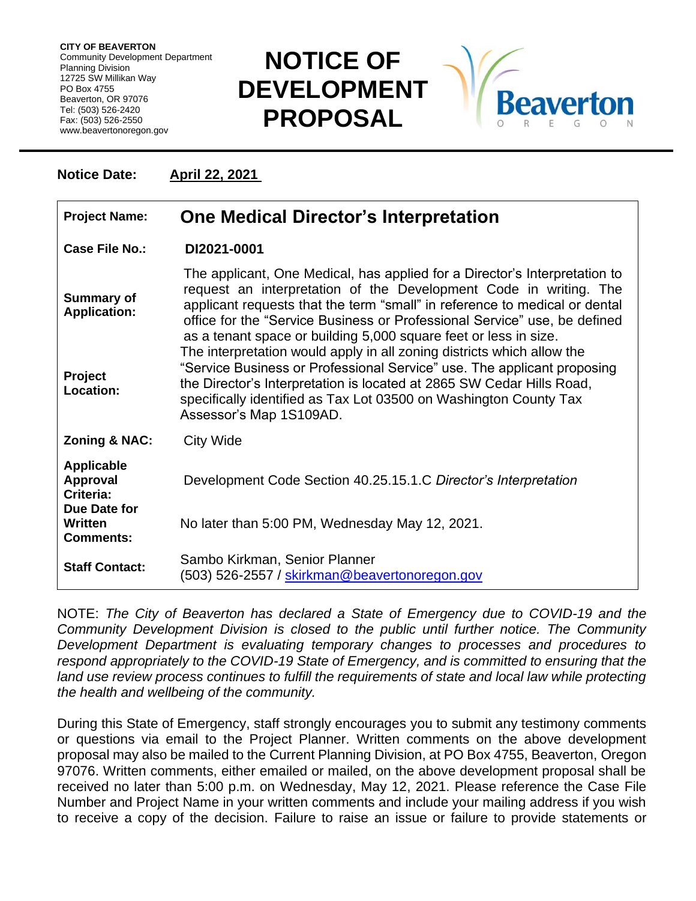**CITY OF BEAVERTON** Community Development Department Planning Division 12725 SW Millikan Way PO Box 4755 Beaverton, OR 97076 Tel: (503) 526-2420 Fax: (503) 526-2550 www.beavertonoregon.gov

## **NOTICE OF DEVELOPMENT PROPOSAL**



**Notice Date: April 22, 2021** 

| <b>Project Name:</b>                              | <b>One Medical Director's Interpretation</b>                                                                                                                                                                                                                                                                                                                                   |
|---------------------------------------------------|--------------------------------------------------------------------------------------------------------------------------------------------------------------------------------------------------------------------------------------------------------------------------------------------------------------------------------------------------------------------------------|
| Case File No.:                                    | DI2021-0001                                                                                                                                                                                                                                                                                                                                                                    |
| <b>Summary of</b><br><b>Application:</b>          | The applicant, One Medical, has applied for a Director's Interpretation to<br>request an interpretation of the Development Code in writing. The<br>applicant requests that the term "small" in reference to medical or dental<br>office for the "Service Business or Professional Service" use, be defined<br>as a tenant space or building 5,000 square feet or less in size. |
| Project<br>Location:                              | The interpretation would apply in all zoning districts which allow the<br>"Service Business or Professional Service" use. The applicant proposing<br>the Director's Interpretation is located at 2865 SW Cedar Hills Road,<br>specifically identified as Tax Lot 03500 on Washington County Tax<br>Assessor's Map 1S109AD.                                                     |
| <b>Zoning &amp; NAC:</b>                          | <b>City Wide</b>                                                                                                                                                                                                                                                                                                                                                               |
| <b>Applicable</b><br><b>Approval</b><br>Criteria: | Development Code Section 40.25.15.1.C Director's Interpretation                                                                                                                                                                                                                                                                                                                |
| Due Date for<br>Written<br><b>Comments:</b>       | No later than 5:00 PM, Wednesday May 12, 2021.                                                                                                                                                                                                                                                                                                                                 |
| <b>Staff Contact:</b>                             | Sambo Kirkman, Senior Planner<br>(503) 526-2557 / <u>skirkman@beavertonoregon.gov</u>                                                                                                                                                                                                                                                                                          |

NOTE: *The City of Beaverton has declared a State of Emergency due to COVID-19 and the Community Development Division is closed to the public until further notice. The Community Development Department is evaluating temporary changes to processes and procedures to respond appropriately to the COVID-19 State of Emergency, and is committed to ensuring that the*  land use review process continues to fulfill the requirements of state and local law while protecting *the health and wellbeing of the community.*

During this State of Emergency, staff strongly encourages you to submit any testimony comments or questions via email to the Project Planner. Written comments on the above development proposal may also be mailed to the Current Planning Division, at PO Box 4755, Beaverton, Oregon 97076. Written comments, either emailed or mailed, on the above development proposal shall be received no later than 5:00 p.m. on Wednesday, May 12, 2021. Please reference the Case File Number and Project Name in your written comments and include your mailing address if you wish to receive a copy of the decision. Failure to raise an issue or failure to provide statements or